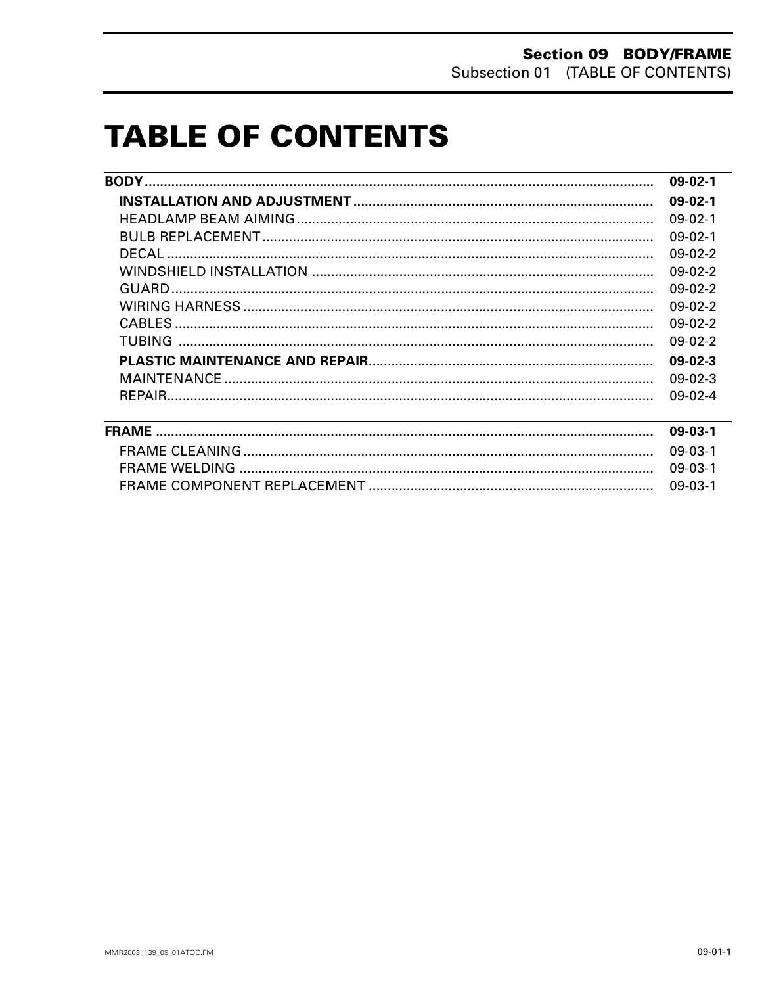# **TABLE OF CONTENTS**

| $09-02-1$       |
|-----------------|
| $09-02-1$       |
| $09-02-1$       |
| $09-02-1$       |
| $09-02-2$       |
| $09-02-2$       |
| $0.9 - 0.2 - 2$ |
| $09-02-2$       |
| $09-02-2$       |
| $0.9 - 0.2 - 2$ |
| $09-02-3$       |
| $09-02-3$       |
| $0.9 - 0.2 - 4$ |
|                 |

| 09-03-1 |
|---------|
|         |
|         |
|         |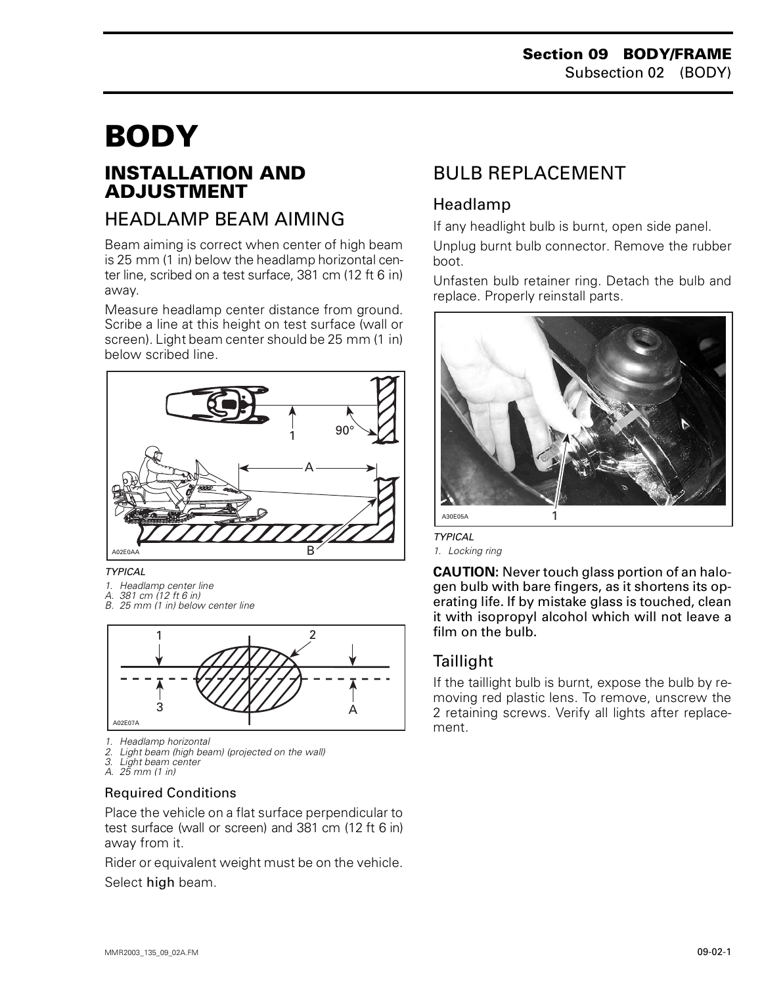# <span id="page-1-0"></span>**BODY 0**

## **INSTALLATION AND ADJUSTMENT**

## HEADLAMP BEAM AIMING

Beam aiming is correct when center of high beam is 25 mm (1 in) below the headlamp horizontal center line, scribed on a test surface, 381 cm (12 ft 6 in) away.

Measure headlamp center distance from ground. Scribe a line at this height on test surface (wall or screen). Light beam center should be 25 mm (1 in) below scribed line.



*TYPICAL*

- 
- *1. Headlamp center line A. 381 cm (12 ft 6 in)*
- *B. 25 mm (1 in) below center line*



- *1. Headlamp horizontal*
- *2. Light beam (high beam) (projected on the wall)*
- *3. Light beam center A. 25 mm (1 in)*
- 

#### Required Conditions

Place the vehicle on a flat surface perpendicular to test surface (wall or screen) and 381 cm (12 ft 6 in) away from it.

Rider or equivalent weight must be on the vehicle.

#### Select high beam.

## BULB REPLACEMENT

#### Headlamp

If any headlight bulb is burnt, open side panel.

Unplug burnt bulb connector. Remove the rubber boot.

Unfasten bulb retainer ring. Detach the bulb and replace. Properly reinstall parts.



*TYPICAL*

*1. Locking ring*

**CAUTION:** Never touch glass portion of an halogen bulb with bare fingers, as it shortens its operating life. If by mistake glass is touched, clean it with isopropyl alcohol which will not leave a film on the bulb.

#### **Taillight**

If the taillight bulb is burnt, expose the bulb by removing red plastic lens. To remove, unscrew the 2 retaining screws. Verify all lights after replacement.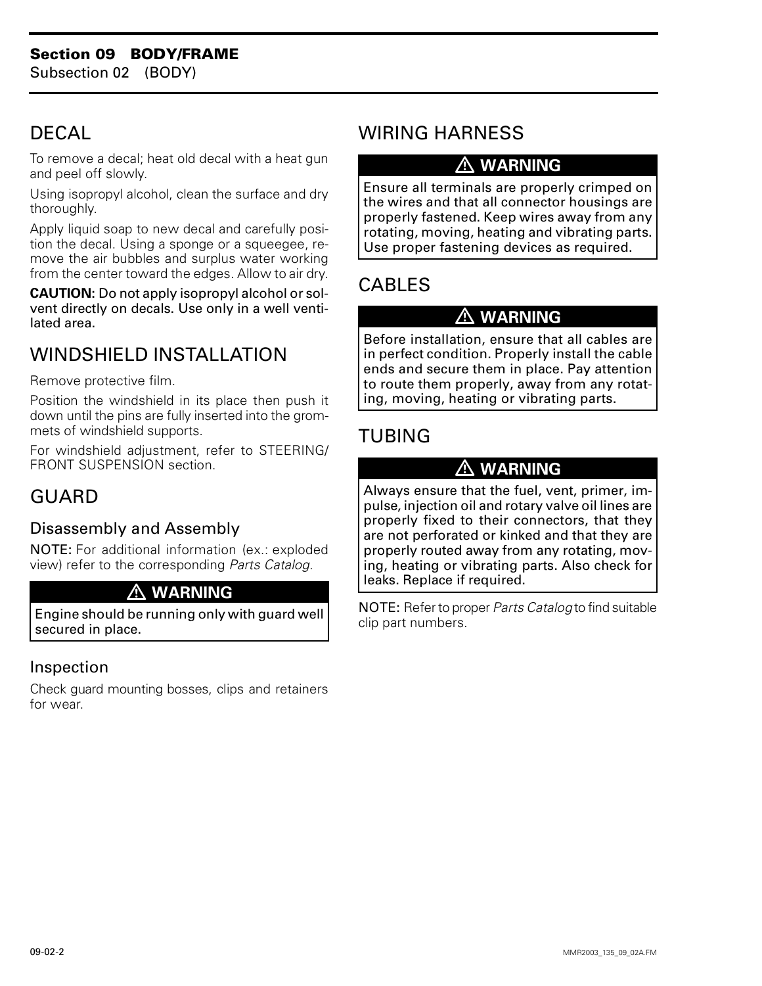## <span id="page-2-0"></span>**DECAL**

To remove a decal; heat old decal with a heat gun and peel off slowly.

Using isopropyl alcohol, clean the surface and dry thoroughly.

Apply liquid soap to new decal and carefully position the decal. Using a sponge or a squeegee, remove the air bubbles and surplus water working from the center toward the edges. Allow to air dry.

**CAUTION:** Do not apply isopropyl alcohol or solvent directly on decals. Use only in a well ventilated area.

## WINDSHIELD INSTALLATION

Remove protective film.

Position the windshield in its place then push it down until the pins are fully inserted into the grommets of windshield supports.

For windshield adjustment, refer to STEERING/ FRONT SUSPENSION section.

## GUARD

#### Disassembly and Assembly

NOTE: For additional information (ex.: exploded view) refer to the corresponding *Parts Catalog*.

#### **WARNING**

Engine should be running only with guard well secured in place.

#### Inspection

Check guard mounting bosses, clips and retainers for wear.

## WIRING HARNESS

### **WARNING**

Ensure all terminals are properly crimped on the wires and that all connector housings are properly fastened. Keep wires away from any rotating, moving, heating and vibrating parts. Use proper fastening devices as required.

# CABLES

#### **WARNING**

Before installation, ensure that all cables are in perfect condition. Properly install the cable ends and secure them in place. Pay attention to route them properly, away from any rotating, moving, heating or vibrating parts.

## TUBING

### **WARNING**

Always ensure that the fuel, vent, primer, impulse, injection oil and rotary valve oil lines are properly fixed to their connectors, that they are not perforated or kinked and that they are properly routed away from any rotating, moving, heating or vibrating parts. Also check for leaks. Replace if required.

NOTE: Refer to proper *Parts Catalog* to find suitable clip part numbers.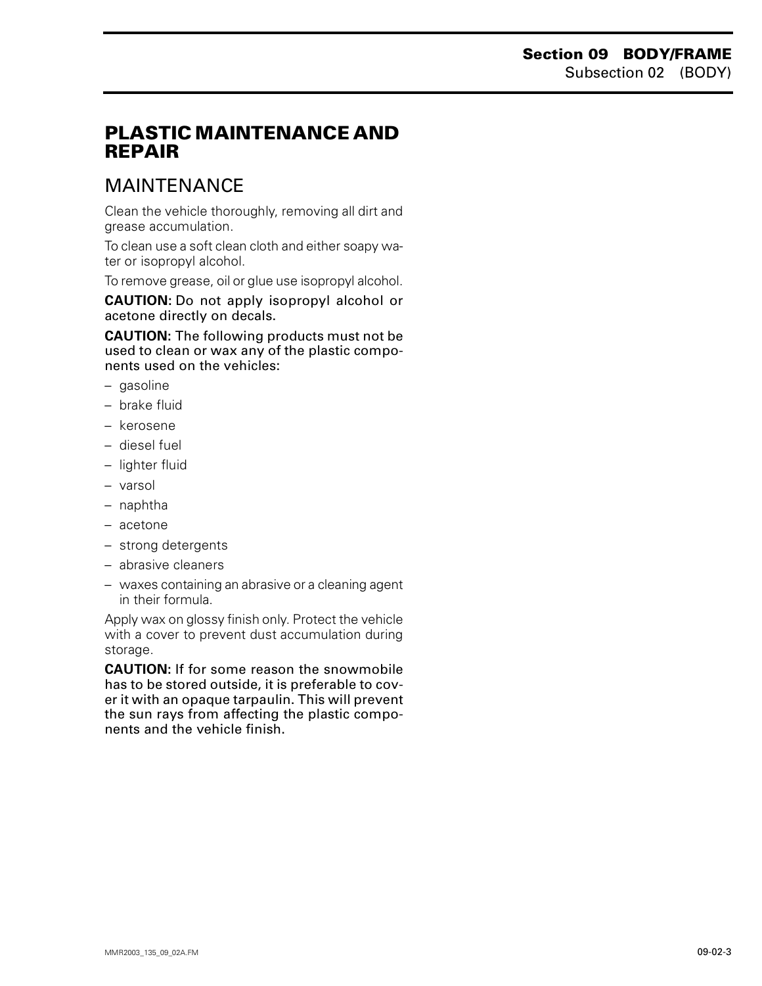## <span id="page-3-0"></span>**PLASTIC MAINTENANCE AND REPAIR**

## MAINTENANCE

Clean the vehicle thoroughly, removing all dirt and grease accumulation.

To clean use a soft clean cloth and either soapy water or isopropyl alcohol.

To remove grease, oil or glue use isopropyl alcohol.

**CAUTION:** Do not apply isopropyl alcohol or acetone directly on decals.

**CAUTION:** The following products must not be used to clean or wax any of the plastic components used on the vehicles:

- gasoline
- brake fluid
- kerosene
- diesel fuel
- lighter fluid
- varsol
- naphtha
- acetone
- strong detergents
- abrasive cleaners
- waxes containing an abrasive or a cleaning agent in their formula.

Apply wax on glossy finish only. Protect the vehicle with a cover to prevent dust accumulation during storage.

**CAUTION:** If for some reason the snowmobile has to be stored outside, it is preferable to cover it with an opaque tarpaulin. This will prevent the sun rays from affecting the plastic components and the vehicle finish.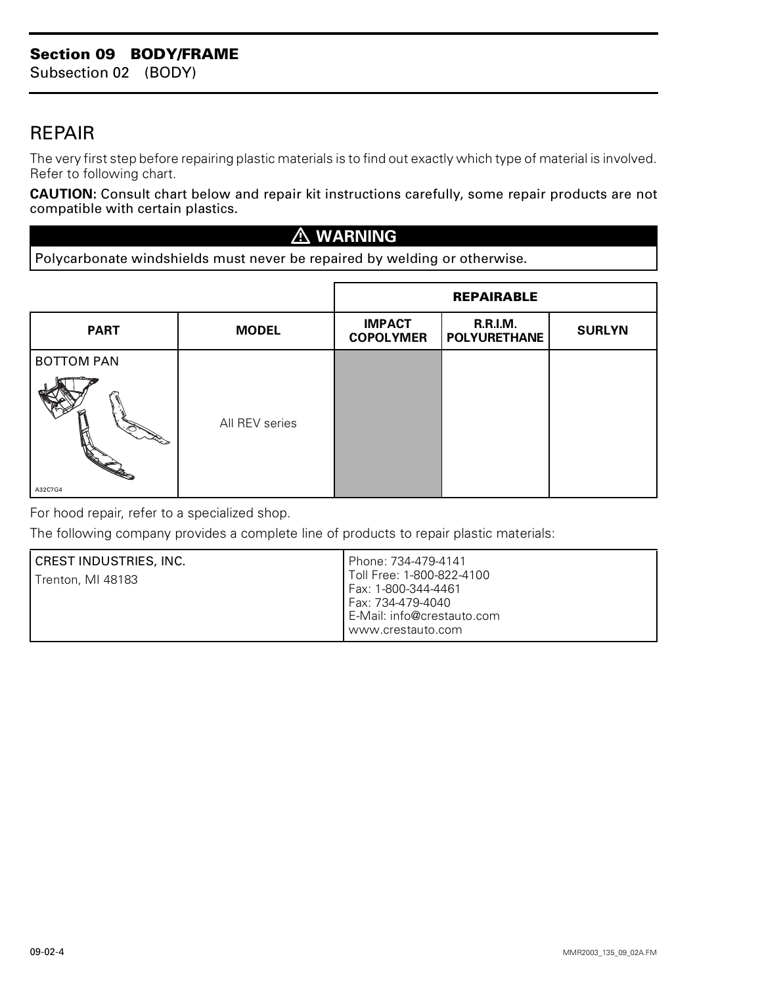## <span id="page-4-0"></span>REPAIR

The very first step before repairing plastic materials is to find out exactly which type of material is involved. Refer to following chart.

**CAUTION:** Consult chart below and repair kit instructions carefully, some repair products are not compatible with certain plastics.

#### **WARNING**

Polycarbonate windshields must never be repaired by welding or otherwise.

|                   |                | <b>REPAIRABLE</b>                 |                                        |               |
|-------------------|----------------|-----------------------------------|----------------------------------------|---------------|
| <b>PART</b>       | <b>MODEL</b>   | <b>IMPACT</b><br><b>COPOLYMER</b> | <b>R.R.I.M.</b><br><b>POLYURETHANE</b> | <b>SURLYN</b> |
| <b>BOTTOM PAN</b> |                |                                   |                                        |               |
|                   | All REV series |                                   |                                        |               |
| A32C7G4           |                |                                   |                                        |               |

For hood repair, refer to a specialized shop.

The following company provides a complete line of products to repair plastic materials:

| CREST INDUSTRIES, INC.<br>Trenton, MI 48183 | l Phone: 734-479-4141<br>l Toll Free: 1-800-822-4100<br>Fax: 1-800-344-4461<br>Fax: 734-479-4040<br>E-Mail: info@crestauto.com<br>www.crestauto.com |
|---------------------------------------------|-----------------------------------------------------------------------------------------------------------------------------------------------------|
|---------------------------------------------|-----------------------------------------------------------------------------------------------------------------------------------------------------|